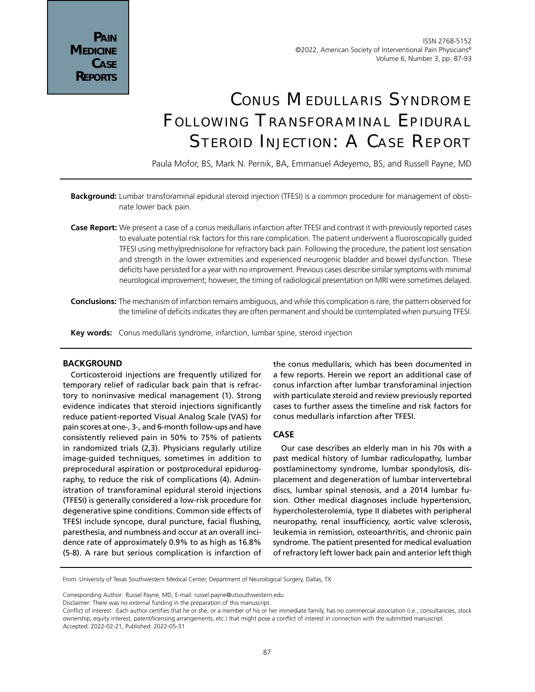# Conus Medullaris Syndrome Following Transforaminal Epidural Steroid Injection: A Case Report

Paula Mofor, BS, Mark N. Pernik, BA, Emmanuel Adeyemo, BS, and Russell Payne, MD

- **Background:** Lumbar transforaminal epidural steroid injection (TFESI) is a common procedure for management of obstinate lower back pain.
- **Case Report:** We present a case of a conus medullaris infarction after TFESI and contrast it with previously reported cases to evaluate potential risk factors for this rare complication. The patient underwent a fluoroscopically guided TFESI using methylprednisolone for refractory back pain. Following the procedure, the patient lost sensation and strength in the lower extremities and experienced neurogenic bladder and bowel dysfunction. These deficits have persisted for a year with no improvement. Previous cases describe similar symptoms with minimal neurological improvement; however, the timing of radiological presentation on MRI were sometimes delayed.
- **Conclusions:** The mechanism of infarction remains ambiguous, and while this complication is rare, the pattern observed for the timeline of deficits indicates they are often permanent and should be contemplated when pursuing TFESI.
- **Key words:** Conus medullaris syndrome, infarction, lumbar spine, steroid injection

# **BACKGROUND**

Corticosteroid injections are frequently utilized for temporary relief of radicular back pain that is refractory to noninvasive medical management (1). Strong evidence indicates that steroid injections significantly reduce patient-reported Visual Analog Scale (VAS) for pain scores at one-, 3-, and 6-month follow-ups and have consistently relieved pain in 50% to 75% of patients in randomized trials (2,3). Physicians regularly utilize image-guided techniques, sometimes in addition to preprocedural aspiration or postprocedural epidurography, to reduce the risk of complications (4). Administration of transforaminal epidural steroid injections (TFESI) is generally considered a low-risk procedure for degenerative spine conditions. Common side effects of TFESI include syncope, dural puncture, facial flushing, paresthesia, and numbness and occur at an overall incidence rate of approximately 0.9% to as high as 16.8% (5-8). A rare but serious complication is infarction of

the conus medullaris, which has been documented in a few reports. Herein we report an additional case of conus infarction after lumbar transforaminal injection with particulate steroid and review previously reported cases to further assess the timeline and risk factors for conus medullaris infarction after TFESI.

#### **CASE**

Our case describes an elderly man in his 70s with a past medical history of lumbar radiculopathy, lumbar postlaminectomy syndrome, lumbar spondylosis, displacement and degeneration of lumbar intervertebral discs, lumbar spinal stenosis, and a 2014 lumbar fusion. Other medical diagnoses include hypertension, hypercholesterolemia, type II diabetes with peripheral neuropathy, renal insufficiency, aortic valve sclerosis, leukemia in remission, osteoarthritis, and chronic pain syndrome. The patient presented for medical evaluation of refractory left lower back pain and anterior left thigh

From: University of Texas Southwestern Medical Center, Department of Neurological Surgery, Dallas, TX

Corresponding Author: Russel Payne, MD, E-mail: russel.payne@utsouthwestern.edu

Disclaimer: There was no external funding in the preparation of this manuscript.

Conflict of interest: Each author certifies that he or she, or a member of his or her immediate family, has no commercial association (i.e., consultancies, stock ownership, equity interest, patent/licensing arrangements, etc.) that might pose a conflict of interest in connection with the submitted manuscript. Accepted: 2022-02-21, Published: 2022-05-31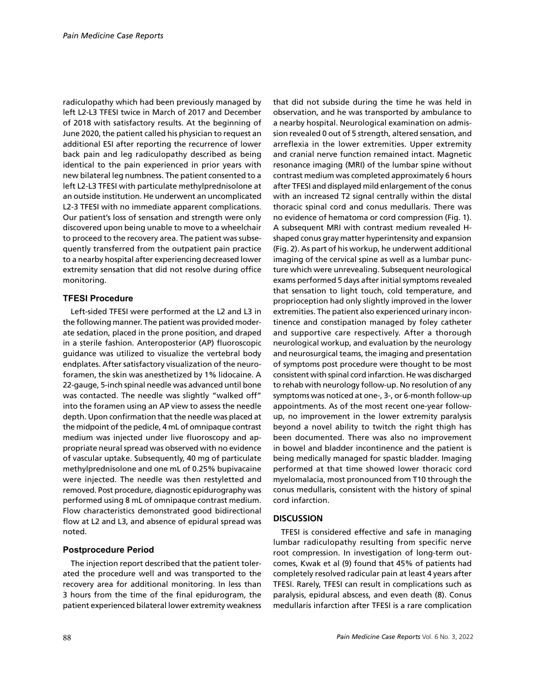radiculopathy which had been previously managed by left L2-L3 TFESI twice in March of 2017 and December of 2018 with satisfactory results. At the beginning of June 2020, the patient called his physician to request an additional ESI after reporting the recurrence of lower back pain and leg radiculopathy described as being identical to the pain experienced in prior years with new bilateral leg numbness. The patient consented to a left L2-L3 TFESI with particulate methylprednisolone at an outside institution. He underwent an uncomplicated L2-3 TFESI with no immediate apparent complications. Our patient's loss of sensation and strength were only discovered upon being unable to move to a wheelchair to proceed to the recovery area. The patient was subsequently transferred from the outpatient pain practice to a nearby hospital after experiencing decreased lower extremity sensation that did not resolve during office monitoring.

### **TFESI Procedure**

Left-sided TFESI were performed at the L2 and L3 in the following manner. The patient was provided moderate sedation, placed in the prone position, and draped in a sterile fashion. Anteroposterior (AP) fluoroscopic guidance was utilized to visualize the vertebral body endplates. After satisfactory visualization of the neuroforamen, the skin was anesthetized by 1% lidocaine. A 22-gauge, 5-inch spinal needle was advanced until bone was contacted. The needle was slightly "walked off" into the foramen using an AP view to assess the needle depth. Upon confirmation that the needle was placed at the midpoint of the pedicle, 4 mL of omnipaque contrast medium was injected under live fluoroscopy and appropriate neural spread was observed with no evidence of vascular uptake. Subsequently, 40 mg of particulate methylprednisolone and one mL of 0.25% bupivacaine were injected. The needle was then restyletted and removed. Post procedure, diagnostic epidurography was performed using 8 mL of omnipaque contrast medium. Flow characteristics demonstrated good bidirectional flow at L2 and L3, and absence of epidural spread was noted.

# **Postprocedure Period**

The injection report described that the patient tolerated the procedure well and was transported to the recovery area for additional monitoring. In less than 3 hours from the time of the final epidurogram, the patient experienced bilateral lower extremity weakness that did not subside during the time he was held in observation, and he was transported by ambulance to a nearby hospital. Neurological examination on admission revealed 0 out of 5 strength, altered sensation, and arreflexia in the lower extremities. Upper extremity and cranial nerve function remained intact. Magnetic resonance imaging (MRI) of the lumbar spine without contrast medium was completed approximately 6 hours after TFESI and displayed mild enlargement of the conus with an increased T2 signal centrally within the distal thoracic spinal cord and conus medullaris. There was no evidence of hematoma or cord compression (Fig. 1). A subsequent MRI with contrast medium revealed Hshaped conus gray matter hyperintensity and expansion (Fig. 2). As part of his workup, he underwent additional imaging of the cervical spine as well as a lumbar puncture which were unrevealing. Subsequent neurological exams performed 5 days after initial symptoms revealed that sensation to light touch, cold temperature, and proprioception had only slightly improved in the lower extremities. The patient also experienced urinary incontinence and constipation managed by foley catheter and supportive care respectively. After a thorough neurological workup, and evaluation by the neurology and neurosurgical teams, the imaging and presentation of symptoms post procedure were thought to be most consistent with spinal cord infarction. He was discharged to rehab with neurology follow-up. No resolution of any symptoms was noticed at one-, 3-, or 6-month follow-up appointments. As of the most recent one-year followup, no improvement in the lower extremity paralysis beyond a novel ability to twitch the right thigh has been documented. There was also no improvement in bowel and bladder incontinence and the patient is being medically managed for spastic bladder. Imaging performed at that time showed lower thoracic cord myelomalacia, most pronounced from T10 through the conus medullaris, consistent with the history of spinal cord infarction.

# **DISCUSSION**

TFESI is considered effective and safe in managing lumbar radiculopathy resulting from specific nerve root compression. In investigation of long-term outcomes, Kwak et al (9) found that 45% of patients had completely resolved radicular pain at least 4 years after TFESI. Rarely, TFESI can result in complications such as paralysis, epidural abscess, and even death (8). Conus medullaris infarction after TFESI is a rare complication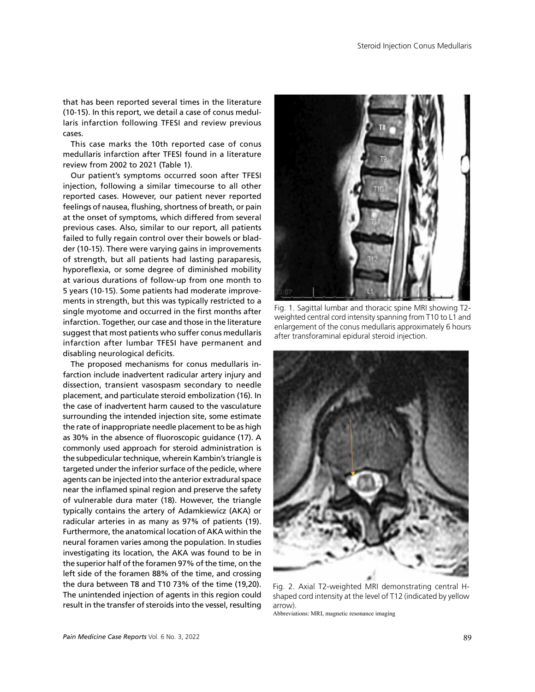that has been reported several times in the literature (10-15). In this report, we detail a case of conus medullaris infarction following TFESI and review previous cases.

This case marks the 10th reported case of conus medullaris infarction after TFESI found in a literature review from 2002 to 2021 (Table 1).

Our patient's symptoms occurred soon after TFESI injection, following a similar timecourse to all other reported cases. However, our patient never reported feelings of nausea, flushing, shortness of breath, or pain at the onset of symptoms, which differed from several previous cases. Also, similar to our report, all patients failed to fully regain control over their bowels or bladder (10-15). There were varying gains in improvements of strength, but all patients had lasting paraparesis, hyporeflexia, or some degree of diminished mobility at various durations of follow-up from one month to 5 years (10-15). Some patients had moderate improvements in strength, but this was typically restricted to a single myotome and occurred in the first months after infarction. Together, our case and those in the literature suggest that most patients who suffer conus medullaris infarction after lumbar TFESI have permanent and disabling neurological deficits.

The proposed mechanisms for conus medullaris infarction include inadvertent radicular artery injury and dissection, transient vasospasm secondary to needle placement, and particulate steroid embolization (16). In the case of inadvertent harm caused to the vasculature surrounding the intended injection site, some estimate the rate of inappropriate needle placement to be as high as 30% in the absence of fluoroscopic guidance (17). A commonly used approach for steroid administration is the subpedicular technique, wherein Kambin's triangle is targeted under the inferior surface of the pedicle, where agents can be injected into the anterior extradural space near the inflamed spinal region and preserve the safety of vulnerable dura mater (18). However, the triangle typically contains the artery of Adamkiewicz (AKA) or radicular arteries in as many as 97% of patients (19). Furthermore, the anatomical location of AKA within the neural foramen varies among the population. In studies investigating its location, the AKA was found to be in the superior half of the foramen 97% of the time, on the left side of the foramen 88% of the time, and crossing the dura between T8 and T10 73% of the time (19,20). The unintended injection of agents in this region could result in the transfer of steroids into the vessel, resulting



Fig. 1. Sagittal lumbar and thoracic spine MRI showing T2 weighted central cord intensity spanning from T10 to L1 and enlargement of the conus medullaris approximately 6 hours after transforaminal epidural steroid injection.



Fig. 2. Axial T2-weighted MRI demonstrating central Hshaped cord intensity at the level of T12 (indicated by yellow arrow).

Abbreviations: MRI, magnetic resonance imaging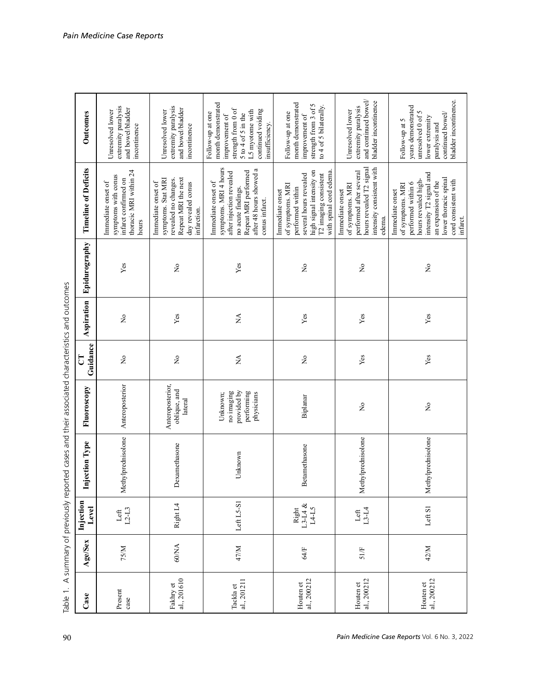| うっこう                                                                                                                                                                                                                                                                                                                                             |
|--------------------------------------------------------------------------------------------------------------------------------------------------------------------------------------------------------------------------------------------------------------------------------------------------------------------------------------------------|
|                                                                                                                                                                                                                                                                                                                                                  |
|                                                                                                                                                                                                                                                                                                                                                  |
|                                                                                                                                                                                                                                                                                                                                                  |
|                                                                                                                                                                                                                                                                                                                                                  |
|                                                                                                                                                                                                                                                                                                                                                  |
|                                                                                                                                                                                                                                                                                                                                                  |
|                                                                                                                                                                                                                                                                                                                                                  |
|                                                                                                                                                                                                                                                                                                                                                  |
|                                                                                                                                                                                                                                                                                                                                                  |
|                                                                                                                                                                                                                                                                                                                                                  |
|                                                                                                                                                                                                                                                                                                                                                  |
|                                                                                                                                                                                                                                                                                                                                                  |
|                                                                                                                                                                                                                                                                                                                                                  |
|                                                                                                                                                                                                                                                                                                                                                  |
|                                                                                                                                                                                                                                                                                                                                                  |
|                                                                                                                                                                                                                                                                                                                                                  |
|                                                                                                                                                                                                                                                                                                                                                  |
|                                                                                                                                                                                                                                                                                                                                                  |
|                                                                                                                                                                                                                                                                                                                                                  |
|                                                                                                                                                                                                                                                                                                                                                  |
|                                                                                                                                                                                                                                                                                                                                                  |
|                                                                                                                                                                                                                                                                                                                                                  |
|                                                                                                                                                                                                                                                                                                                                                  |
|                                                                                                                                                                                                                                                                                                                                                  |
|                                                                                                                                                                                                                                                                                                                                                  |
|                                                                                                                                                                                                                                                                                                                                                  |
|                                                                                                                                                                                                                                                                                                                                                  |
|                                                                                                                                                                                                                                                                                                                                                  |
| CONTECTIVE PRESENTATION CONTECTS AND AND AND AND TO THE CONTECTS OF A SALE OF THE CONTECTS OF A SALE OF THE SALE OF THE SALE OF THE SALE OF THE SALE OF THE SALE OF THE SALE OF THE SALE OF THE SALE OF THE SALE OF THE SALE O<br>ינט איינט איינט איינט איינט איינט איינט איינט איינט איינט איינט איינט איינט איינט איינט איינט איינט איינט איינ |
|                                                                                                                                                                                                                                                                                                                                                  |
|                                                                                                                                                                                                                                                                                                                                                  |
|                                                                                                                                                                                                                                                                                                                                                  |
|                                                                                                                                                                                                                                                                                                                                                  |
|                                                                                                                                                                                                                                                                                                                                                  |
|                                                                                                                                                                                                                                                                                                                                                  |
|                                                                                                                                                                                                                                                                                                                                                  |
|                                                                                                                                                                                                                                                                                                                                                  |
|                                                                                                                                                                                                                                                                                                                                                  |
|                                                                                                                                                                                                                                                                                                                                                  |
|                                                                                                                                                                                                                                                                                                                                                  |
|                                                                                                                                                                                                                                                                                                                                                  |
| 1                                                                                                                                                                                                                                                                                                                                                |
|                                                                                                                                                                                                                                                                                                                                                  |
|                                                                                                                                                                                                                                                                                                                                                  |
|                                                                                                                                                                                                                                                                                                                                                  |
| able                                                                                                                                                                                                                                                                                                                                             |

|                                                                                                   | Outcomes                    | extremity paralysis<br>and bowel/bladder<br>Unresolved lower<br>incontinence                        | extremity paralysis<br>and bowel/bladder<br>Unresolved lower<br>incontinence                                                 | month demonstrated<br>strength from 0 of<br>continued voiding<br>L5 myotome with<br>Follow-up at one<br>5 to 4 of 5 in the<br>improvement of<br>insufficiency.     | month demonstrated<br>strength from 3 of 5<br>to 4 of 5 bilaterally.<br>Follow-up at one<br>improvement of                                                       | and continued bowel/<br>bladder incontinence<br>extremity paralysis<br>Unresolved lower                                           | bladder incontinence.<br>years demonstrated<br>unresolved 0 of 5<br>continued bowel/<br>lower extremity<br>Follow-up at 5<br>paralysis and                                           |
|---------------------------------------------------------------------------------------------------|-----------------------------|-----------------------------------------------------------------------------------------------------|------------------------------------------------------------------------------------------------------------------------------|--------------------------------------------------------------------------------------------------------------------------------------------------------------------|------------------------------------------------------------------------------------------------------------------------------------------------------------------|-----------------------------------------------------------------------------------------------------------------------------------|--------------------------------------------------------------------------------------------------------------------------------------------------------------------------------------|
|                                                                                                   | <b>Timeline of Deficits</b> | thoracic MRI within 24<br>symptoms with coms<br>infarct confirmed on<br>Immediate onset of<br>hours | Repeat MRI the next<br>revealed no changes.<br>symptoms. Stat MRI<br>Immediate onset of<br>day revealed conus<br>infarction. | symptoms. MRI 4 hours<br>after 48 hours showed a<br>Repeat MRI performed<br>after injection revealed<br>Immediate onset of<br>no acute findings.<br>conus infarct. | high signal intensity on<br>with spinal cord edema<br>T2 imaging consistent<br>several hours revealed<br>of symptoms. MRI<br>performed within<br>Immediate onset | hours revealed T2 signal<br>intensity consistent with<br>performed after several<br>of symptoms. MRI<br>Immediate onset<br>edema. | intensity T2 signal and<br>lower thoracic spinal<br>hours revealed high-<br>cord consistent with<br>an expansion of the<br>performed within 6<br>of symptoms. MRI<br>Immediate onset |
|                                                                                                   | Epidurography               | Yes                                                                                                 | $\mathsf{S}^{\mathsf{o}}$                                                                                                    | Yes                                                                                                                                                                | $\tilde{z}$                                                                                                                                                      | $\Sigma$                                                                                                                          | $\overline{\mathsf{x}}$                                                                                                                                                              |
|                                                                                                   | Aspiration                  | $\tilde{z}$                                                                                         | ${\it Yes}$                                                                                                                  | $\lesssim$                                                                                                                                                         | Yes                                                                                                                                                              | Yes                                                                                                                               | Yes                                                                                                                                                                                  |
|                                                                                                   | Guidance<br>ರ               | $\mathop{\mathsf{S}}\nolimits$                                                                      | $\mathop{\mathsf{S}}\nolimits$                                                                                               | $\stackrel{\blacktriangle}{\approx}$                                                                                                                               | $\stackrel{\mathtt{o}}{\mathtt{x}}$                                                                                                                              | Yes                                                                                                                               | Yes                                                                                                                                                                                  |
|                                                                                                   | Fluoroscopy                 | Anteroposterior                                                                                     | Anteroposterior,<br>oblique, and<br>lateral                                                                                  | provided by<br>performing<br>no imaging<br>physicians<br>Unknown;                                                                                                  | Biplanar                                                                                                                                                         | $\stackrel{\circ}{\mathsf{Z}}$                                                                                                    | $\mathsf{S}^{\mathsf{o}}$                                                                                                                                                            |
| Table 1. A summary of previously reported cases and their associated characteristics and outcomes | njection Type               | Methylprednisolone                                                                                  | Dexamethasone                                                                                                                | Unknown                                                                                                                                                            | Betamethasone                                                                                                                                                    | Methylprednisolone                                                                                                                | Methylprednisolone                                                                                                                                                                   |
|                                                                                                   | Injection<br>Level          | Left<br>$L2-L3$                                                                                     | Right L4                                                                                                                     | Left L5-S1                                                                                                                                                         | $\underset{\text{L3-L4}}{\operatorname{Right}}$<br>L4-L5                                                                                                         | Left<br>$L3-L4$                                                                                                                   | Left S1                                                                                                                                                                              |
|                                                                                                   | Age/Sex                     | 75/M                                                                                                | 60/NA                                                                                                                        | 47/M                                                                                                                                                               | 64/F                                                                                                                                                             | 51/F                                                                                                                              | 42/M                                                                                                                                                                                 |
|                                                                                                   | Case                        | Present<br>case                                                                                     | al., 201610<br>Fakhry et                                                                                                     | al., 201211<br>Tackla et                                                                                                                                           | al., 200212<br>Houten et                                                                                                                                         | al., 200212<br>Houten et                                                                                                          | al., 200212<br>Houten et                                                                                                                                                             |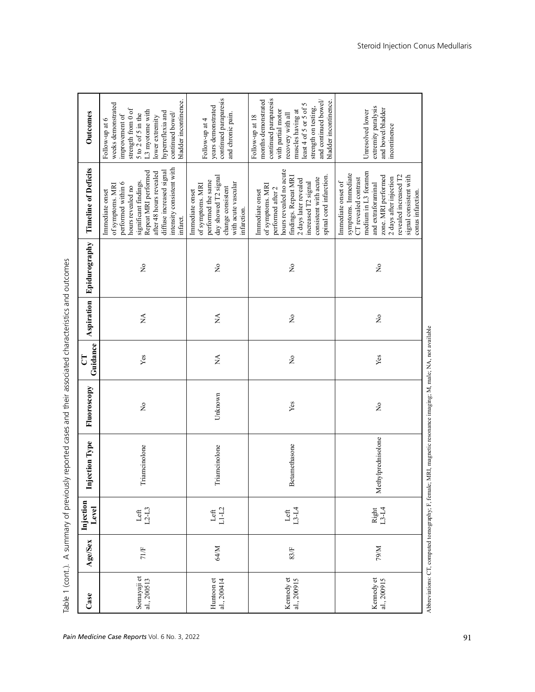| Case                       | Age/Sex | Injection<br>Level | <b>Injection Type</b> | Fluoroscopy                    | Guidance<br>ರ                       | Aspiration  | Epidurography                       | <b>Timeline of Deficits</b>                                                                                                                                                                                                              | Outcomes                                                                                                                                                                                                                         |
|----------------------------|---------|--------------------|-----------------------|--------------------------------|-------------------------------------|-------------|-------------------------------------|------------------------------------------------------------------------------------------------------------------------------------------------------------------------------------------------------------------------------------------|----------------------------------------------------------------------------------------------------------------------------------------------------------------------------------------------------------------------------------|
| Somayaji et<br>al., 200513 | 71/F    | Left<br>$L2-L3$    | Triamcinolone         | $\mathsf{S}^{\mathsf{o}}$      | Yes                                 | $\lesssim$  | $\mathop{\mathsf{S}}\nolimits$      | intensity consistent with<br>Repeat MRI performed<br>diffuse increased signal<br>after 48 hours revealed<br>significant findings.<br>performed within 6<br>of symptoms. MRI<br>hours revealed no<br>Immediate onset<br>infarct.          | bladder incontinence.<br>weeks demonstrated<br>strength from 0 of<br>L3 myotome with<br>hyperreflexia and<br>continued bowel/<br>5 to 2 of 5 in the<br>improvement of<br>lower extremity<br>Follow-up at 6                       |
| Huntoon et<br>al., 200414  | 64/M    | Left<br>$L1-L2$    | Triamcinolone         | Unknown                        | $\stackrel{\Delta}{\simeq}$         | $\lesssim$  | $\rm \stackrel{\circ}{\rm \bf Z}$   | day showed T2 signal<br>performed the same<br>with acute vascular<br>of symptoms. MRI<br>change consistent<br>Immediate onset<br>infarction.                                                                                             | continued paraparesis<br>years demonstrated<br>and chronic pain.<br>Follow-up at 4                                                                                                                                               |
| Kennedy et<br>al., 200915  | 83/F    | Left<br>13-L4      | Betamethasone         | Yes                            | $\stackrel{\mathtt{o}}{\mathtt{x}}$ | $\tilde{z}$ | $\stackrel{\mathtt{o}}{\mathsf{z}}$ | hours revealed no acute<br>spinal cord infarction.<br>findings. Repeat MRI<br>consistent with acute<br>2 days later revealed<br>increased T2 signal<br>of symptoms. MRI<br>performed after 2<br>Immediate onset                          | continued paraparesis<br>months demonstrated<br>and continued bowel/<br>bladder incontinence.<br>strength on testing,<br>least 4 of 5 or 5 of<br>with partial motor<br>muscles having at<br>recovery with all<br>Follow-up at 18 |
| Kennedy et<br>al., 200915  | M/6L    | Right<br>L3-L4     | Methylprednisolone    | $\stackrel{\circ}{\mathsf{Z}}$ | Yes                                 | $\tilde{z}$ | $\rm \stackrel{\circ}{\rm X}$       | medium in L3 foramen<br>symptoms. Immediate<br>zone. MRI performed<br>revealed increased T2<br>signal consistent with<br>2 days after injection<br>CT revealed contrast<br>Immediate onset of<br>and extraforaminal<br>conus infarction. | extremity paralysis<br>and bowel/bladder<br>Unresolved lower<br>incontinence                                                                                                                                                     |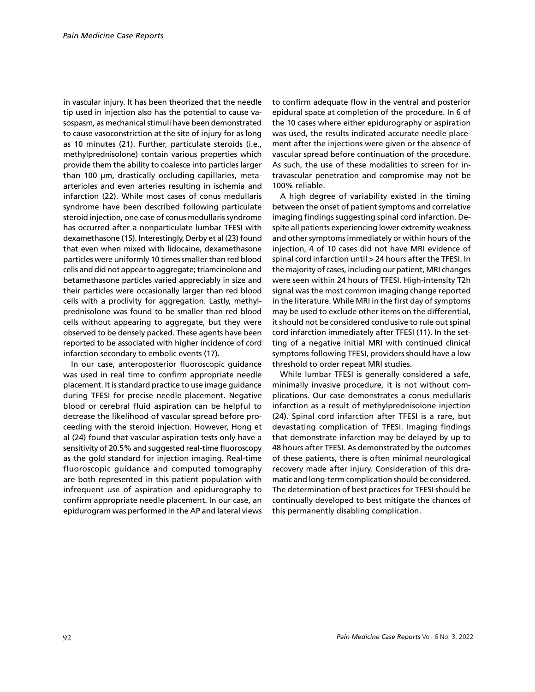in vascular injury. It has been theorized that the needle tip used in injection also has the potential to cause vasospasm, as mechanical stimuli have been demonstrated to cause vasoconstriction at the site of injury for as long as 10 minutes (21). Further, particulate steroids (i.e., methylprednisolone) contain various properties which provide them the ability to coalesce into particles larger than 100 µm, drastically occluding capillaries, metaarterioles and even arteries resulting in ischemia and infarction (22). While most cases of conus medullaris syndrome have been described following particulate steroid injection, one case of conus medullaris syndrome has occurred after a nonparticulate lumbar TFESI with dexamethasone (15). Interestingly, Derby et al (23) found that even when mixed with lidocaine, dexamethasone particles were uniformly 10 times smaller than red blood cells and did not appear to aggregate; triamcinolone and betamethasone particles varied appreciably in size and their particles were occasionally larger than red blood cells with a proclivity for aggregation. Lastly, methylprednisolone was found to be smaller than red blood cells without appearing to aggregate, but they were observed to be densely packed. These agents have been reported to be associated with higher incidence of cord infarction secondary to embolic events (17).

In our case, anteroposterior fluoroscopic guidance was used in real time to confirm appropriate needle placement. It is standard practice to use image guidance during TFESI for precise needle placement. Negative blood or cerebral fluid aspiration can be helpful to decrease the likelihood of vascular spread before proceeding with the steroid injection. However, Hong et al (24) found that vascular aspiration tests only have a sensitivity of 20.5% and suggested real-time fluoroscopy as the gold standard for injection imaging. Real-time fluoroscopic guidance and computed tomography are both represented in this patient population with infrequent use of aspiration and epidurography to confirm appropriate needle placement. In our case, an epidurogram was performed in the AP and lateral views to confirm adequate flow in the ventral and posterior epidural space at completion of the procedure. In 6 of the 10 cases where either epidurography or aspiration was used, the results indicated accurate needle placement after the injections were given or the absence of vascular spread before continuation of the procedure. As such, the use of these modalities to screen for intravascular penetration and compromise may not be 100% reliable.

A high degree of variability existed in the timing between the onset of patient symptoms and correlative imaging findings suggesting spinal cord infarction. Despite all patients experiencing lower extremity weakness and other symptoms immediately or within hours of the injection, 4 of 10 cases did not have MRI evidence of spinal cord infarction until > 24 hours after the TFESI. In the majority of cases, including our patient, MRI changes were seen within 24 hours of TFESI. High-intensity T2h signal was the most common imaging change reported in the literature. While MRI in the first day of symptoms may be used to exclude other items on the differential, it should not be considered conclusive to rule out spinal cord infarction immediately after TFESI (11). In the setting of a negative initial MRI with continued clinical symptoms following TFESI, providers should have a low threshold to order repeat MRI studies.

While lumbar TFESI is generally considered a safe, minimally invasive procedure, it is not without complications. Our case demonstrates a conus medullaris infarction as a result of methylprednisolone injection (24). Spinal cord infarction after TFESI is a rare, but devastating complication of TFESI. Imaging findings that demonstrate infarction may be delayed by up to 48 hours after TFESI. As demonstrated by the outcomes of these patients, there is often minimal neurological recovery made after injury. Consideration of this dramatic and long-term complication should be considered. The determination of best practices for TFESI should be continually developed to best mitigate the chances of this permanently disabling complication.